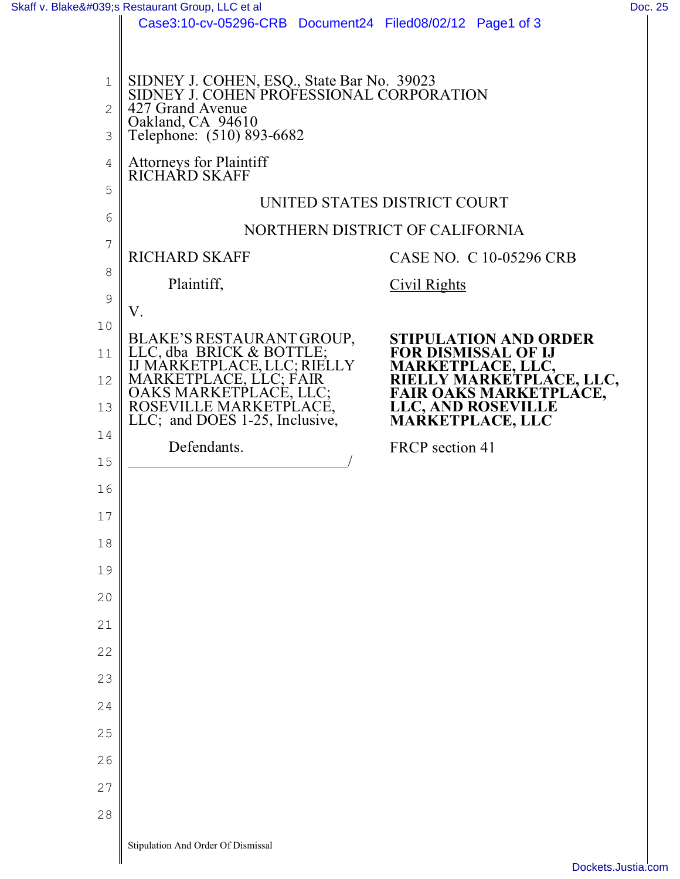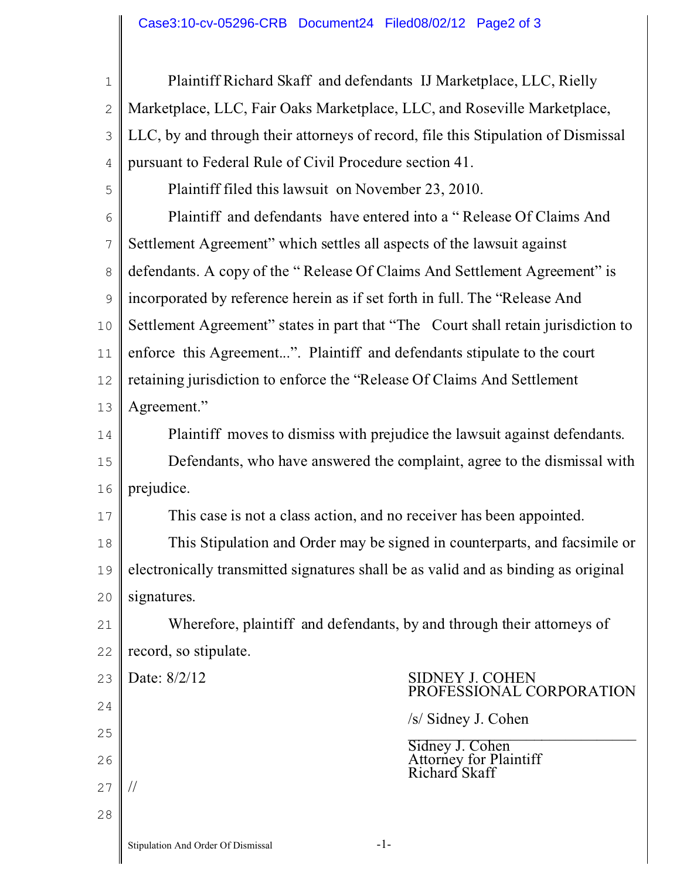| $1\,$          | Plaintiff Richard Skaff and defendants IJ Marketplace, LLC, Rielly                 |
|----------------|------------------------------------------------------------------------------------|
| $\overline{2}$ | Marketplace, LLC, Fair Oaks Marketplace, LLC, and Roseville Marketplace,           |
| 3              | LLC, by and through their attorneys of record, file this Stipulation of Dismissal  |
| 4              | pursuant to Federal Rule of Civil Procedure section 41.                            |
| 5              | Plaintiff filed this lawsuit on November 23, 2010.                                 |
| 6              | Plaintiff and defendants have entered into a "Release Of Claims And                |
| 7              | Settlement Agreement" which settles all aspects of the lawsuit against             |
| $\,8\,$        | defendants. A copy of the "Release Of Claims And Settlement Agreement" is          |
| $\mathcal{G}$  | incorporated by reference herein as if set forth in full. The "Release And         |
| 10             | Settlement Agreement" states in part that "The Court shall retain jurisdiction to  |
| 11             | enforce this Agreement". Plaintiff and defendants stipulate to the court           |
| 12             | retaining jurisdiction to enforce the "Release Of Claims And Settlement            |
| 13             | Agreement."                                                                        |
| 14             | Plaintiff moves to dismiss with prejudice the lawsuit against defendants.          |
| 15             | Defendants, who have answered the complaint, agree to the dismissal with           |
| 16             | prejudice.                                                                         |
| 17             | This case is not a class action, and no receiver has been appointed.               |
| 18             | This Stipulation and Order may be signed in counterparts, and facsimile or         |
| 19             | electronically transmitted signatures shall be as valid and as binding as original |
| 20             | signatures.                                                                        |
| 21             | Wherefore, plaintiff and defendants, by and through their attorneys of             |
| 22             | record, so stipulate.                                                              |
| 23             | Date: 8/2/12<br><b>SIDNEY J. COHEN</b><br>PROFESSIONAL CORPORATION                 |
| 24             | /s/ Sidney J. Cohen                                                                |
| 25             | Sidney J. Cohen                                                                    |
| 26             | <b>Attorney for Plaintiff</b><br>Richard Skaff                                     |
| 27             |                                                                                    |
| 28             |                                                                                    |
|                | $-1-$<br>Stipulation And Order Of Dismissal                                        |

I